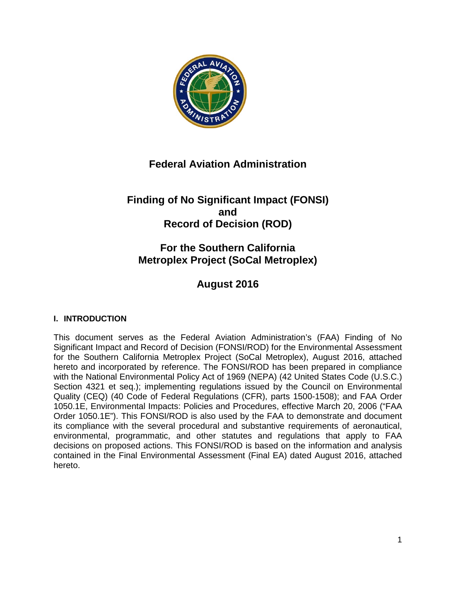

# **Federal Aviation Administration**

# **Finding of No Significant Impact (FONSI) and Record of Decision (ROD)**

# **For the Southern California Metroplex Project (SoCal Metroplex)**

# **August 2016**

# **I. INTRODUCTION**

This document serves as the Federal Aviation Administration's (FAA) Finding of No Significant Impact and Record of Decision (FONSI/ROD) for the Environmental Assessment for the Southern California Metroplex Project (SoCal Metroplex), August 2016, attached hereto and incorporated by reference. The FONSI/ROD has been prepared in compliance with the National Environmental Policy Act of 1969 (NEPA) (42 United States Code (U.S.C.) Section 4321 et seq.); implementing regulations issued by the Council on Environmental Quality (CEQ) (40 Code of Federal Regulations (CFR), parts 1500-1508); and FAA Order 1050.1E, Environmental Impacts: Policies and Procedures, effective March 20, 2006 ("FAA Order 1050.1E"). This FONSI/ROD is also used by the FAA to demonstrate and document its compliance with the several procedural and substantive requirements of aeronautical, environmental, programmatic, and other statutes and regulations that apply to FAA decisions on proposed actions. This FONSI/ROD is based on the information and analysis contained in the Final Environmental Assessment (Final EA) dated August 2016, attached hereto.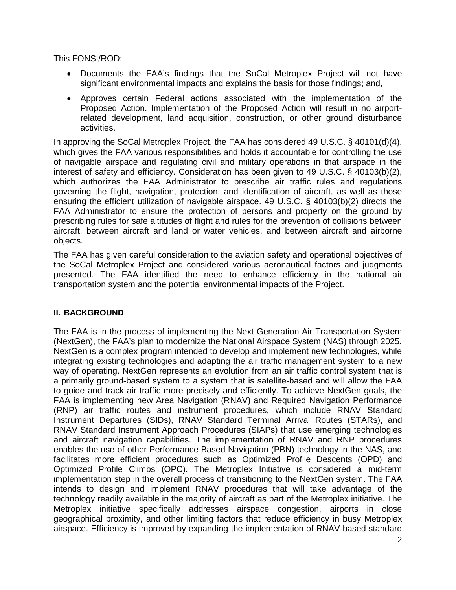This FONSI/ROD:

- Documents the FAA's findings that the SoCal Metroplex Project will not have significant environmental impacts and explains the basis for those findings; and,
- Approves certain Federal actions associated with the implementation of the Proposed Action. Implementation of the Proposed Action will result in no airportrelated development, land acquisition, construction, or other ground disturbance activities.

In approving the SoCal Metroplex Project, the FAA has considered 49 U.S.C. § 40101(d)(4), which gives the FAA various responsibilities and holds it accountable for controlling the use of navigable airspace and regulating civil and military operations in that airspace in the interest of safety and efficiency. Consideration has been given to 49 U.S.C. § 40103(b)(2), which authorizes the FAA Administrator to prescribe air traffic rules and regulations governing the flight, navigation, protection, and identification of aircraft, as well as those ensuring the efficient utilization of navigable airspace. 49 U.S.C. § 40103(b)(2) directs the FAA Administrator to ensure the protection of persons and property on the ground by prescribing rules for safe altitudes of flight and rules for the prevention of collisions between aircraft, between aircraft and land or water vehicles, and between aircraft and airborne objects.

The FAA has given careful consideration to the aviation safety and operational objectives of the SoCal Metroplex Project and considered various aeronautical factors and judgments presented. The FAA identified the need to enhance efficiency in the national air transportation system and the potential environmental impacts of the Project.

# **II. BACKGROUND**

The FAA is in the process of implementing the Next Generation Air Transportation System (NextGen), the FAA's plan to modernize the National Airspace System (NAS) through 2025. NextGen is a complex program intended to develop and implement new technologies, while integrating existing technologies and adapting the air traffic management system to a new way of operating. NextGen represents an evolution from an air traffic control system that is a primarily ground-based system to a system that is satellite-based and will allow the FAA to guide and track air traffic more precisely and efficiently. To achieve NextGen goals, the FAA is implementing new Area Navigation (RNAV) and Required Navigation Performance (RNP) air traffic routes and instrument procedures, which include RNAV Standard Instrument Departures (SIDs), RNAV Standard Terminal Arrival Routes (STARs), and RNAV Standard Instrument Approach Procedures (SIAPs) that use emerging technologies and aircraft navigation capabilities. The implementation of RNAV and RNP procedures enables the use of other Performance Based Navigation (PBN) technology in the NAS, and facilitates more efficient procedures such as Optimized Profile Descents (OPD) and Optimized Profile Climbs (OPC). The Metroplex Initiative is considered a mid-term implementation step in the overall process of transitioning to the NextGen system. The FAA intends to design and implement RNAV procedures that will take advantage of the technology readily available in the majority of aircraft as part of the Metroplex initiative. The Metroplex initiative specifically addresses airspace congestion, airports in close geographical proximity, and other limiting factors that reduce efficiency in busy Metroplex airspace. Efficiency is improved by expanding the implementation of RNAV-based standard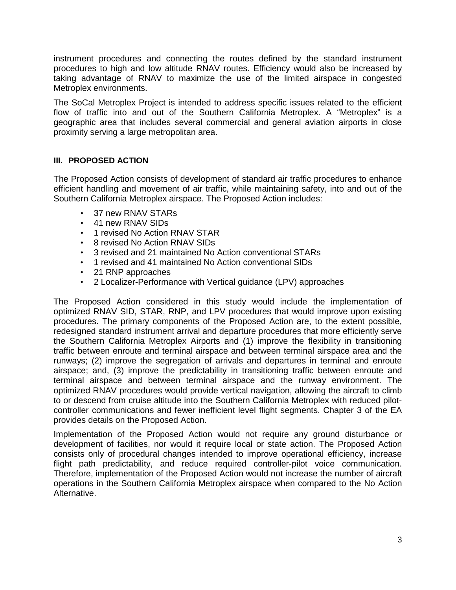instrument procedures and connecting the routes defined by the standard instrument procedures to high and low altitude RNAV routes. Efficiency would also be increased by taking advantage of RNAV to maximize the use of the limited airspace in congested Metroplex environments.

The SoCal Metroplex Project is intended to address specific issues related to the efficient flow of traffic into and out of the Southern California Metroplex. A "Metroplex" is a geographic area that includes several commercial and general aviation airports in close proximity serving a large metropolitan area.

## **III. PROPOSED ACTION**

The Proposed Action consists of development of standard air traffic procedures to enhance efficient handling and movement of air traffic, while maintaining safety, into and out of the Southern California Metroplex airspace. The Proposed Action includes:

- 37 new RNAV STARs
- 41 new RNAV SIDs
- 1 revised No Action RNAV STAR
- 8 revised No Action RNAV SIDs
- 3 revised and 21 maintained No Action conventional STARs
- 1 revised and 41 maintained No Action conventional SIDs
- 21 RNP approaches
- 2 Localizer-Performance with Vertical guidance (LPV) approaches

The Proposed Action considered in this study would include the implementation of optimized RNAV SID, STAR, RNP, and LPV procedures that would improve upon existing procedures. The primary components of the Proposed Action are, to the extent possible, redesigned standard instrument arrival and departure procedures that more efficiently serve the Southern California Metroplex Airports and (1) improve the flexibility in transitioning traffic between enroute and terminal airspace and between terminal airspace area and the runways; (2) improve the segregation of arrivals and departures in terminal and enroute airspace; and, (3) improve the predictability in transitioning traffic between enroute and terminal airspace and between terminal airspace and the runway environment. The optimized RNAV procedures would provide vertical navigation, allowing the aircraft to climb to or descend from cruise altitude into the Southern California Metroplex with reduced pilotcontroller communications and fewer inefficient level flight segments. Chapter 3 of the EA provides details on the Proposed Action.

Implementation of the Proposed Action would not require any ground disturbance or development of facilities, nor would it require local or state action. The Proposed Action consists only of procedural changes intended to improve operational efficiency, increase flight path predictability, and reduce required controller-pilot voice communication. Therefore, implementation of the Proposed Action would not increase the number of aircraft operations in the Southern California Metroplex airspace when compared to the No Action Alternative.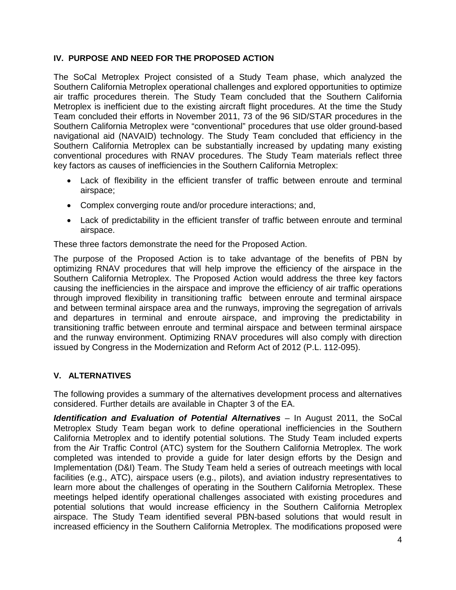# **IV. PURPOSE AND NEED FOR THE PROPOSED ACTION**

The SoCal Metroplex Project consisted of a Study Team phase, which analyzed the Southern California Metroplex operational challenges and explored opportunities to optimize air traffic procedures therein. The Study Team concluded that the Southern California Metroplex is inefficient due to the existing aircraft flight procedures. At the time the Study Team concluded their efforts in November 2011, 73 of the 96 SID/STAR procedures in the Southern California Metroplex were "conventional" procedures that use older ground-based navigational aid (NAVAID) technology. The Study Team concluded that efficiency in the Southern California Metroplex can be substantially increased by updating many existing conventional procedures with RNAV procedures. The Study Team materials reflect three key factors as causes of inefficiencies in the Southern California Metroplex:

- Lack of flexibility in the efficient transfer of traffic between enroute and terminal airspace;
- Complex converging route and/or procedure interactions; and,
- Lack of predictability in the efficient transfer of traffic between enroute and terminal airspace.

These three factors demonstrate the need for the Proposed Action.

The purpose of the Proposed Action is to take advantage of the benefits of PBN by optimizing RNAV procedures that will help improve the efficiency of the airspace in the Southern California Metroplex. The Proposed Action would address the three key factors causing the inefficiencies in the airspace and improve the efficiency of air traffic operations through improved flexibility in transitioning traffic between enroute and terminal airspace and between terminal airspace area and the runways, improving the segregation of arrivals and departures in terminal and enroute airspace, and improving the predictability in transitioning traffic between enroute and terminal airspace and between terminal airspace and the runway environment. Optimizing RNAV procedures will also comply with direction issued by Congress in the Modernization and Reform Act of 2012 (P.L. 112-095).

# **V. ALTERNATIVES**

The following provides a summary of the alternatives development process and alternatives considered. Further details are available in Chapter 3 of the EA.

*Identification and Evaluation of Potential Alternatives* – In August 2011, the SoCal Metroplex Study Team began work to define operational inefficiencies in the Southern California Metroplex and to identify potential solutions. The Study Team included experts from the Air Traffic Control (ATC) system for the Southern California Metroplex. The work completed was intended to provide a guide for later design efforts by the Design and Implementation (D&I) Team. The Study Team held a series of outreach meetings with local facilities (e.g., ATC), airspace users (e.g., pilots), and aviation industry representatives to learn more about the challenges of operating in the Southern California Metroplex. These meetings helped identify operational challenges associated with existing procedures and potential solutions that would increase efficiency in the Southern California Metroplex airspace. The Study Team identified several PBN-based solutions that would result in increased efficiency in the Southern California Metroplex. The modifications proposed were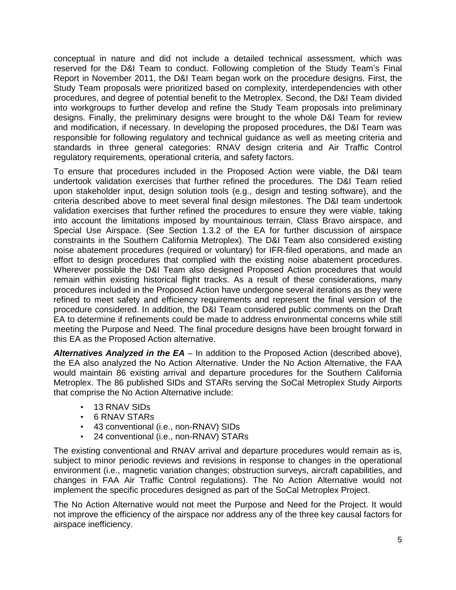conceptual in nature and did not include a detailed technical assessment, which was reserved for the D&I Team to conduct. Following completion of the Study Team's Final Report in November 2011, the D&I Team began work on the procedure designs. First, the Study Team proposals were prioritized based on complexity, interdependencies with other procedures, and degree of potential benefit to the Metroplex. Second, the D&I Team divided into workgroups to further develop and refine the Study Team proposals into preliminary designs. Finally, the preliminary designs were brought to the whole D&I Team for review and modification, if necessary. In developing the proposed procedures, the D&I Team was responsible for following regulatory and technical guidance as well as meeting criteria and standards in three general categories: RNAV design criteria and Air Traffic Control regulatory requirements, operational criteria, and safety factors.

To ensure that procedures included in the Proposed Action were viable, the D&I team undertook validation exercises that further refined the procedures. The D&I Team relied upon stakeholder input, design solution tools (e.g., design and testing software), and the criteria described above to meet several final design milestones. The D&I team undertook validation exercises that further refined the procedures to ensure they were viable, taking into account the limitations imposed by mountainous terrain, Class Bravo airspace, and Special Use Airspace. (See Section 1.3.2 of the EA for further discussion of airspace constraints in the Southern California Metroplex). The D&I Team also considered existing noise abatement procedures (required or voluntary) for IFR-filed operations, and made an effort to design procedures that complied with the existing noise abatement procedures. Wherever possible the D&I Team also designed Proposed Action procedures that would remain within existing historical flight tracks. As a result of these considerations, many procedures included in the Proposed Action have undergone several iterations as they were refined to meet safety and efficiency requirements and represent the final version of the procedure considered. In addition, the D&I Team considered public comments on the Draft EA to determine if refinements could be made to address environmental concerns while still meeting the Purpose and Need. The final procedure designs have been brought forward in this EA as the Proposed Action alternative.

*Alternatives Analyzed in the EA* – In addition to the Proposed Action (described above), the EA also analyzed the No Action Alternative. Under the No Action Alternative, the FAA would maintain 86 existing arrival and departure procedures for the Southern California Metroplex. The 86 published SIDs and STARs serving the SoCal Metroplex Study Airports that comprise the No Action Alternative include:

- 13 RNAV SIDs
- 6 RNAV STARs
- 43 conventional (i.e., non-RNAV) SIDs
- 24 conventional (i.e., non-RNAV) STARs

The existing conventional and RNAV arrival and departure procedures would remain as is, subject to minor periodic reviews and revisions in response to changes in the operational environment (i.e., magnetic variation changes; obstruction surveys, aircraft capabilities, and changes in FAA Air Traffic Control regulations). The No Action Alternative would not implement the specific procedures designed as part of the SoCal Metroplex Project.

The No Action Alternative would not meet the Purpose and Need for the Project. It would not improve the efficiency of the airspace nor address any of the three key causal factors for airspace inefficiency.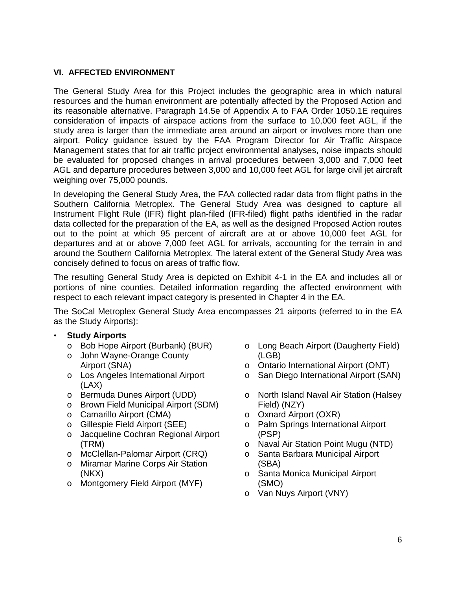### **VI. AFFECTED ENVIRONMENT**

The General Study Area for this Project includes the geographic area in which natural resources and the human environment are potentially affected by the Proposed Action and its reasonable alternative. Paragraph 14.5e of Appendix A to FAA Order 1050.1E requires consideration of impacts of airspace actions from the surface to 10,000 feet AGL, if the study area is larger than the immediate area around an airport or involves more than one airport. Policy guidance issued by the FAA Program Director for Air Traffic Airspace Management states that for air traffic project environmental analyses, noise impacts should be evaluated for proposed changes in arrival procedures between 3,000 and 7,000 feet AGL and departure procedures between 3,000 and 10,000 feet AGL for large civil jet aircraft weighing over 75,000 pounds.

In developing the General Study Area, the FAA collected radar data from flight paths in the Southern California Metroplex. The General Study Area was designed to capture all Instrument Flight Rule (IFR) flight plan-filed (IFR-filed) flight paths identified in the radar data collected for the preparation of the EA, as well as the designed Proposed Action routes out to the point at which 95 percent of aircraft are at or above 10,000 feet AGL for departures and at or above 7,000 feet AGL for arrivals, accounting for the terrain in and around the Southern California Metroplex. The lateral extent of the General Study Area was concisely defined to focus on areas of traffic flow.

The resulting General Study Area is depicted on Exhibit 4-1 in the EA and includes all or portions of nine counties. Detailed information regarding the affected environment with respect to each relevant impact category is presented in Chapter 4 in the EA.

The SoCal Metroplex General Study Area encompasses 21 airports (referred to in the EA as the Study Airports):

- **Study Airports**
	- o Bob Hope Airport (Burbank) (BUR)
	- o John Wayne-Orange County Airport (SNA)
	- o Los Angeles International Airport (LAX)
	- o Bermuda Dunes Airport (UDD)
	- o Brown Field Municipal Airport (SDM)
	- o Camarillo Airport (CMA)
	- o Gillespie Field Airport (SEE)
	- o Jacqueline Cochran Regional Airport (TRM)
	- o McClellan-Palomar Airport (CRQ)
	- o Miramar Marine Corps Air Station (NKX)
	- o Montgomery Field Airport (MYF)
- o Long Beach Airport (Daugherty Field) (LGB)
- o Ontario International Airport (ONT)
- o San Diego International Airport (SAN)
- o North Island Naval Air Station (Halsey Field) (NZY)
- o Oxnard Airport (OXR)
- o Palm Springs International Airport (PSP)
- o Naval Air Station Point Mugu (NTD)
- o Santa Barbara Municipal Airport (SBA)
- o Santa Monica Municipal Airport (SMO)
- o Van Nuys Airport (VNY)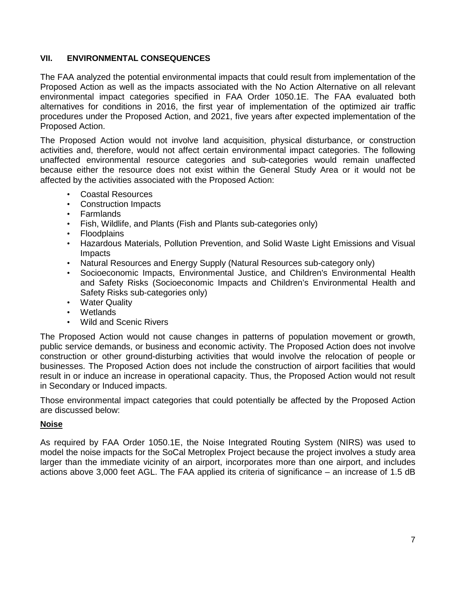# **VII. ENVIRONMENTAL CONSEQUENCES**

The FAA analyzed the potential environmental impacts that could result from implementation of the Proposed Action as well as the impacts associated with the No Action Alternative on all relevant environmental impact categories specified in FAA Order 1050.1E. The FAA evaluated both alternatives for conditions in 2016, the first year of implementation of the optimized air traffic procedures under the Proposed Action, and 2021, five years after expected implementation of the Proposed Action.

The Proposed Action would not involve land acquisition, physical disturbance, or construction activities and, therefore, would not affect certain environmental impact categories. The following unaffected environmental resource categories and sub-categories would remain unaffected because either the resource does not exist within the General Study Area or it would not be affected by the activities associated with the Proposed Action:

- Coastal Resources
- Construction Impacts
- Farmlands
- Fish, Wildlife, and Plants (Fish and Plants sub-categories only)
- Floodplains
- Hazardous Materials, Pollution Prevention, and Solid Waste Light Emissions and Visual Impacts
- Natural Resources and Energy Supply (Natural Resources sub-category only)
- Socioeconomic Impacts, Environmental Justice, and Children's Environmental Health and Safety Risks (Socioeconomic Impacts and Children's Environmental Health and Safety Risks sub-categories only)
- Water Quality
- Wetlands
- Wild and Scenic Rivers

The Proposed Action would not cause changes in patterns of population movement or growth, public service demands, or business and economic activity. The Proposed Action does not involve construction or other ground-disturbing activities that would involve the relocation of people or businesses. The Proposed Action does not include the construction of airport facilities that would result in or induce an increase in operational capacity. Thus, the Proposed Action would not result in Secondary or Induced impacts.

Those environmental impact categories that could potentially be affected by the Proposed Action are discussed below:

### **Noise**

As required by FAA Order 1050.1E, the Noise Integrated Routing System (NIRS) was used to model the noise impacts for the SoCal Metroplex Project because the project involves a study area larger than the immediate vicinity of an airport, incorporates more than one airport, and includes actions above 3,000 feet AGL. The FAA applied its criteria of significance – an increase of 1.5 dB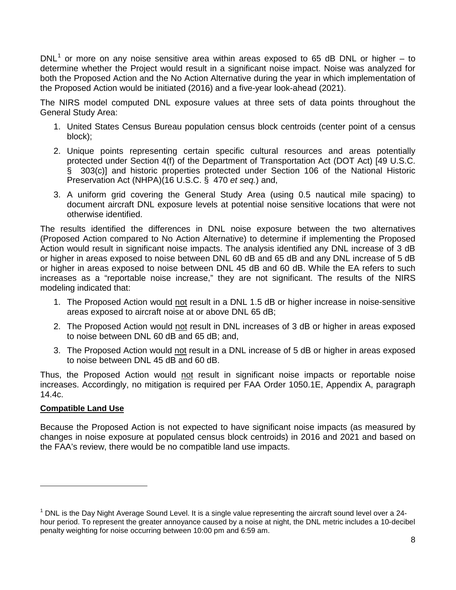$DNL<sup>1</sup>$  or more on any noise sensitive area within areas exposed to 65 dB DNL or higher – to determine whether the Project would result in a significant noise impact. Noise was analyzed for both the Proposed Action and the No Action Alternative during the year in which implementation of the Proposed Action would be initiated (2016) and a five-year look-ahead (2021).

The NIRS model computed DNL exposure values at three sets of data points throughout the General Study Area:

- 1. United States Census Bureau population census block centroids (center point of a census block);
- 2. Unique points representing certain specific cultural resources and areas potentially protected under Section 4(f) of the Department of Transportation Act (DOT Act) [49 U.S.C. § 303(c)] and historic properties protected under Section 106 of the National Historic Preservation Act (NHPA)(16 U.S.C. § 470 *et seq.*) and,
- 3. A uniform grid covering the General Study Area (using 0.5 nautical mile spacing) to document aircraft DNL exposure levels at potential noise sensitive locations that were not otherwise identified.

The results identified the differences in DNL noise exposure between the two alternatives (Proposed Action compared to No Action Alternative) to determine if implementing the Proposed Action would result in significant noise impacts. The analysis identified any DNL increase of 3 dB or higher in areas exposed to noise between DNL 60 dB and 65 dB and any DNL increase of 5 dB or higher in areas exposed to noise between DNL 45 dB and 60 dB. While the EA refers to such increases as a "reportable noise increase," they are not significant. The results of the NIRS modeling indicated that:

- 1. The Proposed Action would not result in a DNL 1.5 dB or higher increase in noise-sensitive areas exposed to aircraft noise at or above DNL 65 dB;
- 2. The Proposed Action would not result in DNL increases of 3 dB or higher in areas exposed to noise between DNL 60 dB and 65 dB; and,
- 3. The Proposed Action would not result in a DNL increase of 5 dB or higher in areas exposed to noise between DNL 45 dB and 60 dB.

Thus, the Proposed Action would not result in significant noise impacts or reportable noise increases. Accordingly, no mitigation is required per FAA Order 1050.1E, Appendix A, paragraph 14.4c.

# **Compatible Land Use**

 $\overline{\phantom{a}}$ 

Because the Proposed Action is not expected to have significant noise impacts (as measured by changes in noise exposure at populated census block centroids) in 2016 and 2021 and based on the FAA's review, there would be no compatible land use impacts.

<sup>&</sup>lt;sup>1</sup> DNL is the Day Night Average Sound Level. It is a single value representing the aircraft sound level over a 24hour period. To represent the greater annoyance caused by a noise at night, the DNL metric includes a 10-decibel penalty weighting for noise occurring between 10:00 pm and 6:59 am.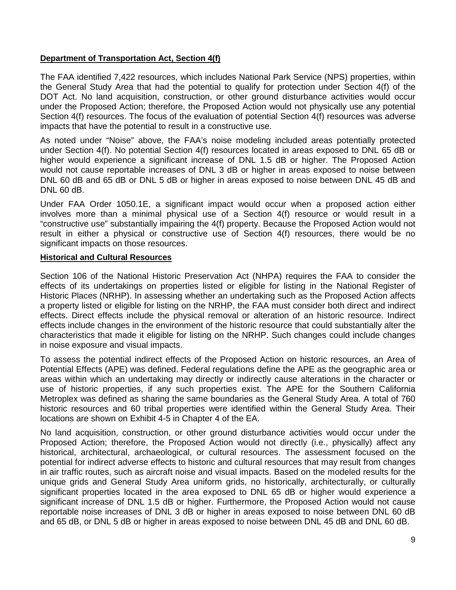# **Department of Transportation Act, Section 4(f)**

The FAA identified 7,422 resources, which includes National Park Service (NPS) properties, within the General Study Area that had the potential to qualify for protection under Section 4(f) of the DOT Act. No land acquisition, construction, or other ground disturbance activities would occur under the Proposed Action; therefore, the Proposed Action would not physically use any potential Section 4(f) resources. The focus of the evaluation of potential Section 4(f) resources was adverse impacts that have the potential to result in a constructive use.

As noted under "Noise" above, the FAA's noise modeling included areas potentially protected under Section 4(f). No potential Section 4(f) resources located in areas exposed to DNL 65 dB or higher would experience a significant increase of DNL 1.5 dB or higher. The Proposed Action would not cause reportable increases of DNL 3 dB or higher in areas exposed to noise between DNL 60 dB and 65 dB or DNL 5 dB or higher in areas exposed to noise between DNL 45 dB and DNL 60 dB.

Under FAA Order 1050.1E, a significant impact would occur when a proposed action either involves more than a minimal physical use of a Section 4(f) resource or would result in a "constructive use" substantially impairing the 4(f) property. Because the Proposed Action would not result in either a physical or constructive use of Section 4(f) resources, there would be no significant impacts on those resources.

#### **Historical and Cultural Resources**

Section 106 of the National Historic Preservation Act (NHPA) requires the FAA to consider the effects of its undertakings on properties listed or eligible for listing in the National Register of Historic Places (NRHP). In assessing whether an undertaking such as the Proposed Action affects a property listed or eligible for listing on the NRHP, the FAA must consider both direct and indirect effects. Direct effects include the physical removal or alteration of an historic resource. Indirect effects include changes in the environment of the historic resource that could substantially alter the characteristics that made it eligible for listing on the NRHP. Such changes could include changes in noise exposure and visual impacts.

To assess the potential indirect effects of the Proposed Action on historic resources, an Area of Potential Effects (APE) was defined. Federal regulations define the APE as the geographic area or areas within which an undertaking may directly or indirectly cause alterations in the character or use of historic properties, if any such properties exist. The APE for the Southern California Metroplex was defined as sharing the same boundaries as the General Study Area. A total of 760 historic resources and 60 tribal properties were identified within the General Study Area. Their locations are shown on Exhibit 4-5 in Chapter 4 of the EA.

No land acquisition, construction, or other ground disturbance activities would occur under the Proposed Action; therefore, the Proposed Action would not directly (i.e., physically) affect any historical, architectural, archaeological, or cultural resources. The assessment focused on the potential for indirect adverse effects to historic and cultural resources that may result from changes in air traffic routes, such as aircraft noise and visual impacts. Based on the modeled results for the unique grids and General Study Area uniform grids, no historically, architecturally, or culturally significant properties located in the area exposed to DNL 65 dB or higher would experience a significant increase of DNL 1.5 dB or higher. Furthermore, the Proposed Action would not cause reportable noise increases of DNL 3 dB or higher in areas exposed to noise between DNL 60 dB and 65 dB, or DNL 5 dB or higher in areas exposed to noise between DNL 45 dB and DNL 60 dB.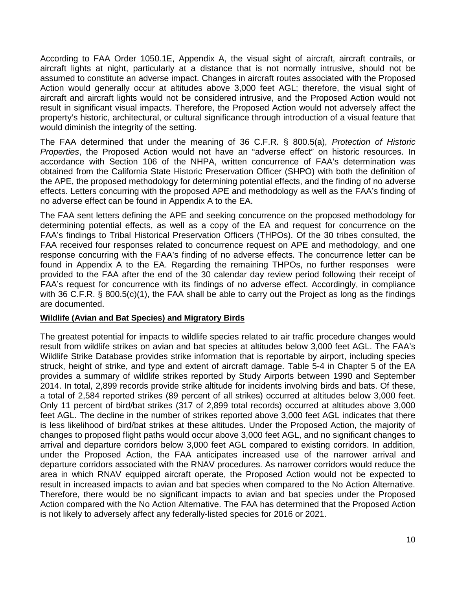According to FAA Order 1050.1E, Appendix A, the visual sight of aircraft, aircraft contrails, or aircraft lights at night, particularly at a distance that is not normally intrusive, should not be assumed to constitute an adverse impact. Changes in aircraft routes associated with the Proposed Action would generally occur at altitudes above 3,000 feet AGL; therefore, the visual sight of aircraft and aircraft lights would not be considered intrusive, and the Proposed Action would not result in significant visual impacts. Therefore, the Proposed Action would not adversely affect the property's historic, architectural, or cultural significance through introduction of a visual feature that would diminish the integrity of the setting.

The FAA determined that under the meaning of 36 C.F.R. § 800.5(a), *Protection of Historic Properties*, the Proposed Action would not have an "adverse effect" on historic resources. In accordance with Section 106 of the NHPA, written concurrence of FAA's determination was obtained from the California State Historic Preservation Officer (SHPO) with both the definition of the APE, the proposed methodology for determining potential effects, and the finding of no adverse effects. Letters concurring with the proposed APE and methodology as well as the FAA's finding of no adverse effect can be found in Appendix A to the EA.

The FAA sent letters defining the APE and seeking concurrence on the proposed methodology for determining potential effects, as well as a copy of the EA and request for concurrence on the FAA's findings to Tribal Historical Preservation Officers (THPOs). Of the 30 tribes consulted, the FAA received four responses related to concurrence request on APE and methodology, and one response concurring with the FAA's finding of no adverse effects. The concurrence letter can be found in Appendix A to the EA. Regarding the remaining THPOs, no further responses were provided to the FAA after the end of the 30 calendar day review period following their receipt of FAA's request for concurrence with its findings of no adverse effect. Accordingly, in compliance with 36 C.F.R. § 800.5(c)(1), the FAA shall be able to carry out the Project as long as the findings are documented.

### **Wildlife (Avian and Bat Species) and Migratory Birds**

The greatest potential for impacts to wildlife species related to air traffic procedure changes would result from wildlife strikes on avian and bat species at altitudes below 3,000 feet AGL. The FAA's Wildlife Strike Database provides strike information that is reportable by airport, including species struck, height of strike, and type and extent of aircraft damage. Table 5-4 in Chapter 5 of the EA provides a summary of wildlife strikes reported by Study Airports between 1990 and September 2014. In total, 2,899 records provide strike altitude for incidents involving birds and bats. Of these, a total of 2,584 reported strikes (89 percent of all strikes) occurred at altitudes below 3,000 feet. Only 11 percent of bird/bat strikes (317 of 2,899 total records) occurred at altitudes above 3,000 feet AGL. The decline in the number of strikes reported above 3,000 feet AGL indicates that there is less likelihood of bird/bat strikes at these altitudes. Under the Proposed Action, the majority of changes to proposed flight paths would occur above 3,000 feet AGL, and no significant changes to arrival and departure corridors below 3,000 feet AGL compared to existing corridors. In addition, under the Proposed Action, the FAA anticipates increased use of the narrower arrival and departure corridors associated with the RNAV procedures. As narrower corridors would reduce the area in which RNAV equipped aircraft operate, the Proposed Action would not be expected to result in increased impacts to avian and bat species when compared to the No Action Alternative. Therefore, there would be no significant impacts to avian and bat species under the Proposed Action compared with the No Action Alternative. The FAA has determined that the Proposed Action is not likely to adversely affect any federally-listed species for 2016 or 2021.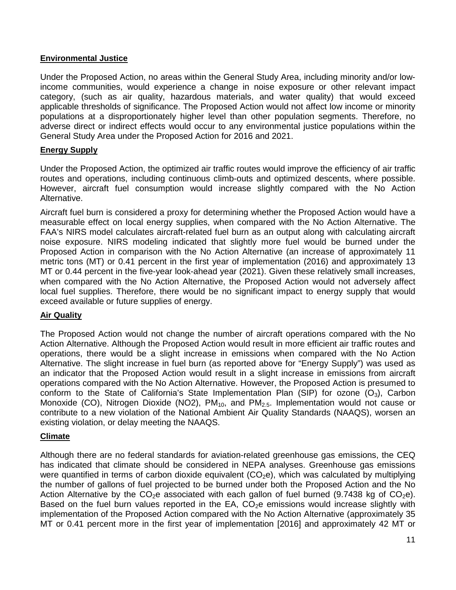## **Environmental Justice**

Under the Proposed Action, no areas within the General Study Area, including minority and/or lowincome communities, would experience a change in noise exposure or other relevant impact category, (such as air quality, hazardous materials, and water quality) that would exceed applicable thresholds of significance. The Proposed Action would not affect low income or minority populations at a disproportionately higher level than other population segments. Therefore, no adverse direct or indirect effects would occur to any environmental justice populations within the General Study Area under the Proposed Action for 2016 and 2021.

## **Energy Supply**

Under the Proposed Action, the optimized air traffic routes would improve the efficiency of air traffic routes and operations, including continuous climb-outs and optimized descents, where possible. However, aircraft fuel consumption would increase slightly compared with the No Action Alternative.

Aircraft fuel burn is considered a proxy for determining whether the Proposed Action would have a measurable effect on local energy supplies, when compared with the No Action Alternative. The FAA's NIRS model calculates aircraft-related fuel burn as an output along with calculating aircraft noise exposure. NIRS modeling indicated that slightly more fuel would be burned under the Proposed Action in comparison with the No Action Alternative (an increase of approximately 11 metric tons (MT) or 0.41 percent in the first year of implementation (2016) and approximately 13 MT or 0.44 percent in the five-year look-ahead year (2021). Given these relatively small increases, when compared with the No Action Alternative, the Proposed Action would not adversely affect local fuel supplies. Therefore, there would be no significant impact to energy supply that would exceed available or future supplies of energy.

# **Air Quality**

The Proposed Action would not change the number of aircraft operations compared with the No Action Alternative. Although the Proposed Action would result in more efficient air traffic routes and operations, there would be a slight increase in emissions when compared with the No Action Alternative. The slight increase in fuel burn (as reported above for "Energy Supply") was used as an indicator that the Proposed Action would result in a slight increase in emissions from aircraft operations compared with the No Action Alternative. However, the Proposed Action is presumed to conform to the State of California's State Implementation Plan (SIP) for ozone  $(O_3)$ , Carbon Monoxide (CO), Nitrogen Dioxide (NO2),  $PM_{10}$ , and  $PM_{2.5}$ . Implementation would not cause or contribute to a new violation of the National Ambient Air Quality Standards (NAAQS), worsen an existing violation, or delay meeting the NAAQS.

# **Climate**

Although there are no federal standards for aviation-related greenhouse gas emissions, the CEQ has indicated that climate should be considered in NEPA analyses. Greenhouse gas emissions were quantified in terms of carbon dioxide equivalent  $(CO<sub>2</sub>e)$ , which was calculated by multiplying the number of gallons of fuel projected to be burned under both the Proposed Action and the No Action Alternative by the  $CO<sub>2</sub>e$  associated with each gallon of fuel burned (9.7438 kg of  $CO<sub>2</sub>e$ ). Based on the fuel burn values reported in the EA,  $CO<sub>2</sub>e$  emissions would increase slightly with implementation of the Proposed Action compared with the No Action Alternative (approximately 35 MT or 0.41 percent more in the first year of implementation [2016] and approximately 42 MT or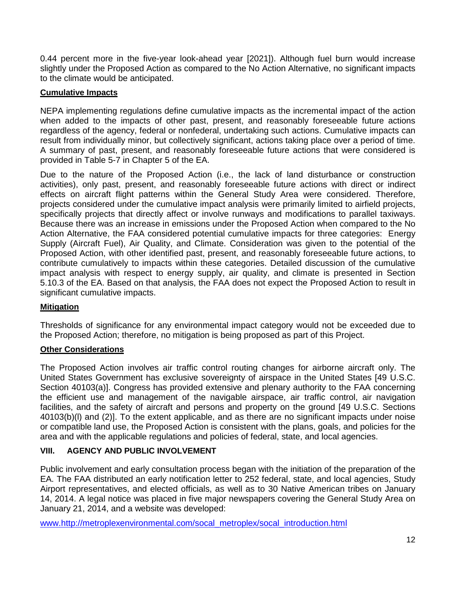0.44 percent more in the five-year look-ahead year [2021]). Although fuel burn would increase slightly under the Proposed Action as compared to the No Action Alternative, no significant impacts to the climate would be anticipated.

# **Cumulative Impacts**

NEPA implementing regulations define cumulative impacts as the incremental impact of the action when added to the impacts of other past, present, and reasonably foreseeable future actions regardless of the agency, federal or nonfederal, undertaking such actions. Cumulative impacts can result from individually minor, but collectively significant, actions taking place over a period of time. A summary of past, present, and reasonably foreseeable future actions that were considered is provided in Table 5-7 in Chapter 5 of the EA.

Due to the nature of the Proposed Action (i.e., the lack of land disturbance or construction activities), only past, present, and reasonably foreseeable future actions with direct or indirect effects on aircraft flight patterns within the General Study Area were considered. Therefore, projects considered under the cumulative impact analysis were primarily limited to airfield projects, specifically projects that directly affect or involve runways and modifications to parallel taxiways. Because there was an increase in emissions under the Proposed Action when compared to the No Action Alternative, the FAA considered potential cumulative impacts for three categories: Energy Supply (Aircraft Fuel), Air Quality, and Climate. Consideration was given to the potential of the Proposed Action, with other identified past, present, and reasonably foreseeable future actions, to contribute cumulatively to impacts within these categories. Detailed discussion of the cumulative impact analysis with respect to energy supply, air quality, and climate is presented in Section 5.10.3 of the EA. Based on that analysis, the FAA does not expect the Proposed Action to result in significant cumulative impacts.

# **Mitigation**

Thresholds of significance for any environmental impact category would not be exceeded due to the Proposed Action; therefore, no mitigation is being proposed as part of this Project.

# **Other Considerations**

The Proposed Action involves air traffic control routing changes for airborne aircraft only. The United States Government has exclusive sovereignty of airspace in the United States [49 U.S.C. Section 40103(a)]. Congress has provided extensive and plenary authority to the FAA concerning the efficient use and management of the navigable airspace, air traffic control, air navigation facilities, and the safety of aircraft and persons and property on the ground [49 U.S.C. Sections 40103(b)(l) and (2)]. To the extent applicable, and as there are no significant impacts under noise or compatible land use, the Proposed Action is consistent with the plans, goals, and policies for the area and with the applicable regulations and policies of federal, state, and local agencies.

# **VIII. AGENCY AND PUBLIC INVOLVEMENT**

Public involvement and early consultation process began with the initiation of the preparation of the EA. The FAA distributed an early notification letter to 252 federal, state, and local agencies, Study Airport representatives, and elected officials, as well as to 30 Native American tribes on January 14, 2014. A legal notice was placed in five major newspapers covering the General Study Area on January 21, 2014, and a website was developed:

www.http://metroplexenvironmental.com/socal\_metroplex/socal\_introduction.html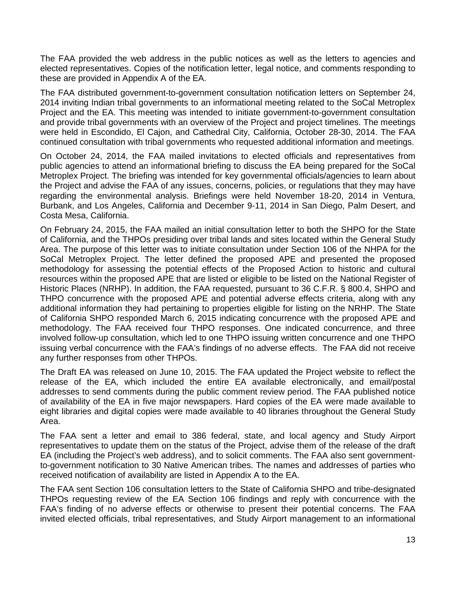The FAA provided the web address in the public notices as well as the letters to agencies and elected representatives. Copies of the notification letter, legal notice, and comments responding to these are provided in Appendix A of the EA.

The FAA distributed government-to-government consultation notification letters on September 24, 2014 inviting Indian tribal governments to an informational meeting related to the SoCal Metroplex Project and the EA. This meeting was intended to initiate government-to-government consultation and provide tribal governments with an overview of the Project and project timelines. The meetings were held in Escondido, El Cajon, and Cathedral City, California, October 28-30, 2014. The FAA continued consultation with tribal governments who requested additional information and meetings.

On October 24, 2014, the FAA mailed invitations to elected officials and representatives from public agencies to attend an informational briefing to discuss the EA being prepared for the SoCal Metroplex Project. The briefing was intended for key governmental officials/agencies to learn about the Project and advise the FAA of any issues, concerns, policies, or regulations that they may have regarding the environmental analysis. Briefings were held November 18-20, 2014 in Ventura, Burbank, and Los Angeles, California and December 9-11, 2014 in San Diego, Palm Desert, and Costa Mesa, California.

On February 24, 2015, the FAA mailed an initial consultation letter to both the SHPO for the State of California, and the THPOs presiding over tribal lands and sites located within the General Study Area. The purpose of this letter was to initiate consultation under Section 106 of the NHPA for the SoCal Metroplex Project. The letter defined the proposed APE and presented the proposed methodology for assessing the potential effects of the Proposed Action to historic and cultural resources within the proposed APE that are listed or eligible to be listed on the National Register of Historic Places (NRHP). In addition, the FAA requested, pursuant to 36 C.F.R. § 800.4, SHPO and THPO concurrence with the proposed APE and potential adverse effects criteria, along with any additional information they had pertaining to properties eligible for listing on the NRHP. The State of California SHPO responded March 6, 2015 indicating concurrence with the proposed APE and methodology. The FAA received four THPO responses. One indicated concurrence, and three involved follow-up consultation, which led to one THPO issuing written concurrence and one THPO issuing verbal concurrence with the FAA's findings of no adverse effects. The FAA did not receive any further responses from other THPOs.

The Draft EA was released on June 10, 2015. The FAA updated the Project website to reflect the release of the EA, which included the entire EA available electronically, and email/postal addresses to send comments during the public comment review period. The FAA published notice of availability of the EA in five major newspapers. Hard copies of the EA were made available to eight libraries and digital copies were made available to 40 libraries throughout the General Study Area.

The FAA sent a letter and email to 386 federal, state, and local agency and Study Airport representatives to update them on the status of the Project, advise them of the release of the draft EA (including the Project's web address), and to solicit comments. The FAA also sent governmentto-government notification to 30 Native American tribes. The names and addresses of parties who received notification of availability are listed in Appendix A to the EA.

The FAA sent Section 106 consultation letters to the State of California SHPO and tribe-designated THPOs requesting review of the EA Section 106 findings and reply with concurrence with the FAA's finding of no adverse effects or otherwise to present their potential concerns. The FAA invited elected officials, tribal representatives, and Study Airport management to an informational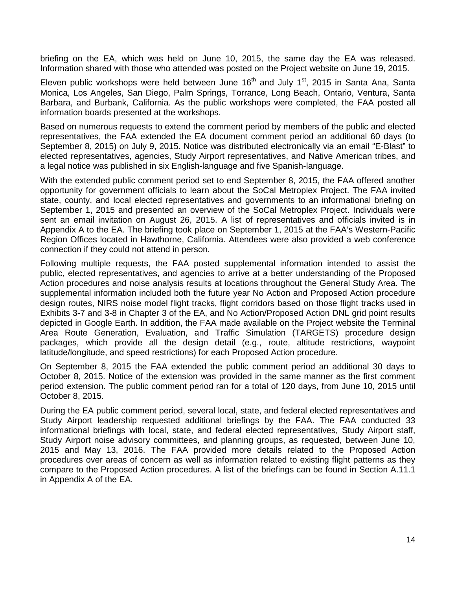briefing on the EA, which was held on June 10, 2015, the same day the EA was released. Information shared with those who attended was posted on the Project website on June 19, 2015.

Eleven public workshops were held between June  $16<sup>th</sup>$  and July  $1<sup>st</sup>$ , 2015 in Santa Ana, Santa Monica, Los Angeles, San Diego, Palm Springs, Torrance, Long Beach, Ontario, Ventura, Santa Barbara, and Burbank, California. As the public workshops were completed, the FAA posted all information boards presented at the workshops.

Based on numerous requests to extend the comment period by members of the public and elected representatives, the FAA extended the EA document comment period an additional 60 days (to September 8, 2015) on July 9, 2015. Notice was distributed electronically via an email "E-Blast" to elected representatives, agencies, Study Airport representatives, and Native American tribes, and a legal notice was published in six English-language and five Spanish-language.

With the extended public comment period set to end September 8, 2015, the FAA offered another opportunity for government officials to learn about the SoCal Metroplex Project. The FAA invited state, county, and local elected representatives and governments to an informational briefing on September 1, 2015 and presented an overview of the SoCal Metroplex Project. Individuals were sent an email invitation on August 26, 2015. A list of representatives and officials invited is in Appendix A to the EA. The briefing took place on September 1, 2015 at the FAA's Western-Pacific Region Offices located in Hawthorne, California. Attendees were also provided a web conference connection if they could not attend in person.

Following multiple requests, the FAA posted supplemental information intended to assist the public, elected representatives, and agencies to arrive at a better understanding of the Proposed Action procedures and noise analysis results at locations throughout the General Study Area. The supplemental information included both the future year No Action and Proposed Action procedure design routes, NIRS noise model flight tracks, flight corridors based on those flight tracks used in Exhibits 3-7 and 3-8 in Chapter 3 of the EA, and No Action/Proposed Action DNL grid point results depicted in Google Earth. In addition, the FAA made available on the Project website the Terminal Area Route Generation, Evaluation, and Traffic Simulation (TARGETS) procedure design packages, which provide all the design detail (e.g., route, altitude restrictions, waypoint latitude/longitude, and speed restrictions) for each Proposed Action procedure.

On September 8, 2015 the FAA extended the public comment period an additional 30 days to October 8, 2015. Notice of the extension was provided in the same manner as the first comment period extension. The public comment period ran for a total of 120 days, from June 10, 2015 until October 8, 2015.

During the EA public comment period, several local, state, and federal elected representatives and Study Airport leadership requested additional briefings by the FAA. The FAA conducted 33 informational briefings with local, state, and federal elected representatives, Study Airport staff, Study Airport noise advisory committees, and planning groups, as requested, between June 10, 2015 and May 13, 2016. The FAA provided more details related to the Proposed Action procedures over areas of concern as well as information related to existing flight patterns as they compare to the Proposed Action procedures. A list of the briefings can be found in Section A.11.1 in Appendix A of the EA.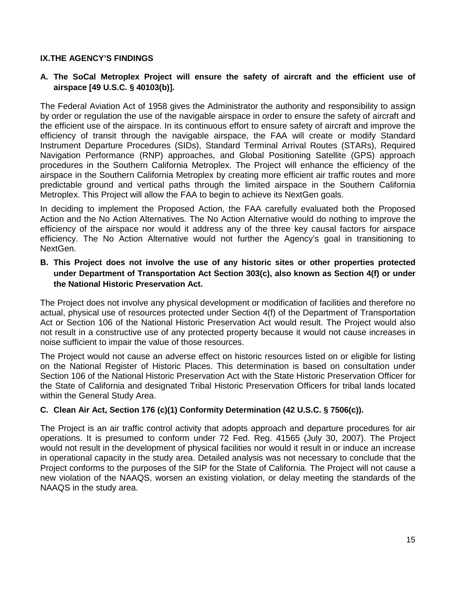## **IX.THE AGENCY'S FINDINGS**

# **A. The SoCal Metroplex Project will ensure the safety of aircraft and the efficient use of airspace [49 U.S.C. § 40103(b)].**

The Federal Aviation Act of 1958 gives the Administrator the authority and responsibility to assign by order or regulation the use of the navigable airspace in order to ensure the safety of aircraft and the efficient use of the airspace. In its continuous effort to ensure safety of aircraft and improve the efficiency of transit through the navigable airspace, the FAA will create or modify Standard Instrument Departure Procedures (SIDs), Standard Terminal Arrival Routes (STARs), Required Navigation Performance (RNP) approaches, and Global Positioning Satellite (GPS) approach procedures in the Southern California Metroplex. The Project will enhance the efficiency of the airspace in the Southern California Metroplex by creating more efficient air traffic routes and more predictable ground and vertical paths through the limited airspace in the Southern California Metroplex. This Project will allow the FAA to begin to achieve its NextGen goals.

In deciding to implement the Proposed Action, the FAA carefully evaluated both the Proposed Action and the No Action Alternatives. The No Action Alternative would do nothing to improve the efficiency of the airspace nor would it address any of the three key causal factors for airspace efficiency. The No Action Alternative would not further the Agency's goal in transitioning to NextGen.

# **B. This Project does not involve the use of any historic sites or other properties protected under Department of Transportation Act Section 303(c), also known as Section 4(f) or under the National Historic Preservation Act.**

The Project does not involve any physical development or modification of facilities and therefore no actual, physical use of resources protected under Section 4(f) of the Department of Transportation Act or Section 106 of the National Historic Preservation Act would result. The Project would also not result in a constructive use of any protected property because it would not cause increases in noise sufficient to impair the value of those resources.

The Project would not cause an adverse effect on historic resources listed on or eligible for listing on the National Register of Historic Places. This determination is based on consultation under Section 106 of the National Historic Preservation Act with the State Historic Preservation Officer for the State of California and designated Tribal Historic Preservation Officers for tribal lands located within the General Study Area.

# **C. Clean Air Act, Section 176 (c)(1) Conformity Determination (42 U.S.C. § 7506(c)).**

The Project is an air traffic control activity that adopts approach and departure procedures for air operations. It is presumed to conform under 72 Fed. Reg. 41565 (July 30, 2007). The Project would not result in the development of physical facilities nor would it result in or induce an increase in operational capacity in the study area. Detailed analysis was not necessary to conclude that the Project conforms to the purposes of the SIP for the State of California. The Project will not cause a new violation of the NAAQS, worsen an existing violation, or delay meeting the standards of the NAAQS in the study area.